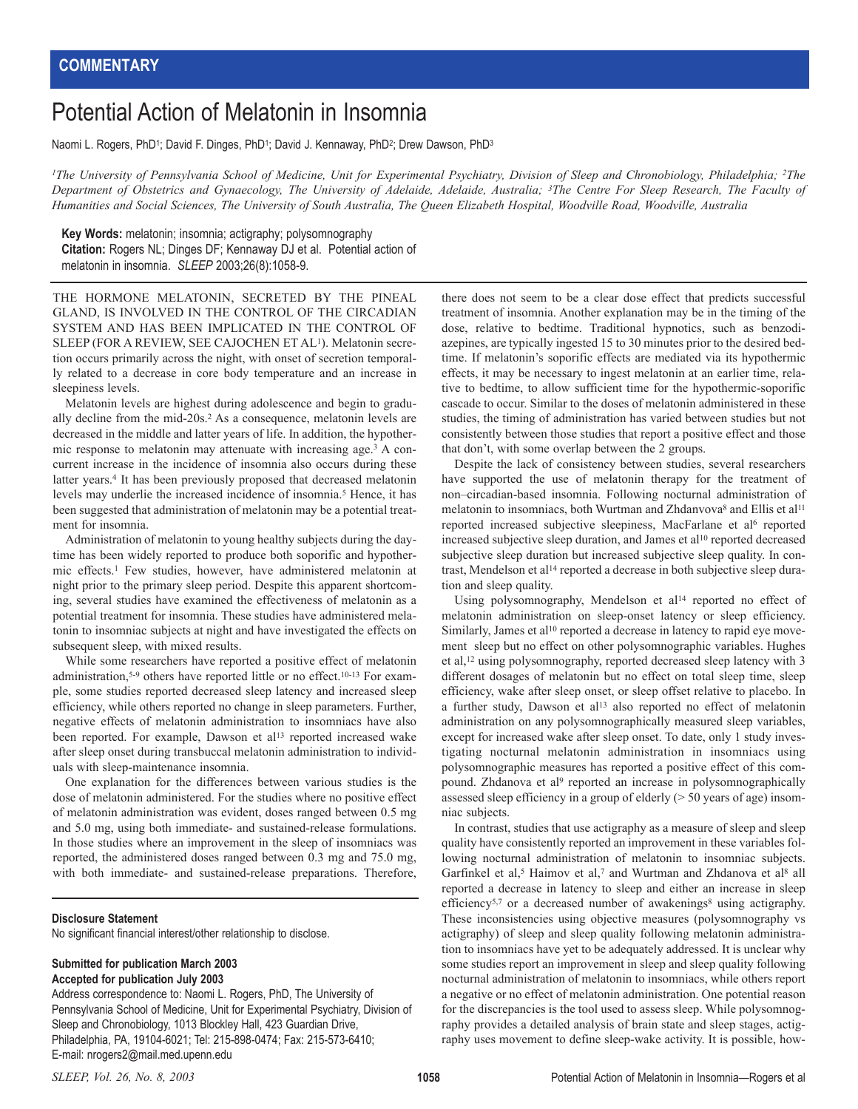## Potential Action of Melatonin in Insomnia

Naomi L. Rogers, PhD<sup>1</sup>; David F. Dinges, PhD<sup>1</sup>; David J. Kennaway, PhD<sup>2</sup>; Drew Dawson, PhD<sup>3</sup>

*1The University of Pennsylvania School of Medicine, Unit for Experimental Psychiatry, Division of Sleep and Chronobiology, Philadelphia; 2The Department of Obstetrics and Gynaecology, The University of Adelaide, Adelaide, Australia; 3The Centre For Sleep Research, The Faculty of Humanities and Social Sciences, The University of South Australia, The Queen Elizabeth Hospital, Woodville Road, Woodville, Australia*

**Key Words:** melatonin; insomnia; actigraphy; polysomnography **Citation:** Rogers NL; Dinges DF; Kennaway DJ et al. Potential action of melatonin in insomnia. *SLEEP* 2003;26(8):1058-9.

THE HORMONE MELATONIN, SECRETED BY THE PINEAL GLAND, IS INVOLVED IN THE CONTROL OF THE CIRCADIAN SYSTEM AND HAS BEEN IMPLICATED IN THE CONTROL OF SLEEP (FOR A REVIEW, SEE CAJOCHEN ET AL1). Melatonin secretion occurs primarily across the night, with onset of secretion temporally related to a decrease in core body temperature and an increase in sleepiness levels.

Melatonin levels are highest during adolescence and begin to gradually decline from the mid-20s.2 As a consequence, melatonin levels are decreased in the middle and latter years of life. In addition, the hypothermic response to melatonin may attenuate with increasing age.3 A concurrent increase in the incidence of insomnia also occurs during these latter years.4 It has been previously proposed that decreased melatonin levels may underlie the increased incidence of insomnia.5 Hence, it has been suggested that administration of melatonin may be a potential treatment for insomnia.

Administration of melatonin to young healthy subjects during the daytime has been widely reported to produce both soporific and hypothermic effects.1 Few studies, however, have administered melatonin at night prior to the primary sleep period. Despite this apparent shortcoming, several studies have examined the effectiveness of melatonin as a potential treatment for insomnia. These studies have administered melatonin to insomniac subjects at night and have investigated the effects on subsequent sleep, with mixed results.

While some researchers have reported a positive effect of melatonin administration,<sup>5-9</sup> others have reported little or no effect.<sup>10-13</sup> For example, some studies reported decreased sleep latency and increased sleep efficiency, while others reported no change in sleep parameters. Further, negative effects of melatonin administration to insomniacs have also been reported. For example, Dawson et al<sup>13</sup> reported increased wake after sleep onset during transbuccal melatonin administration to individuals with sleep-maintenance insomnia.

One explanation for the differences between various studies is the dose of melatonin administered. For the studies where no positive effect of melatonin administration was evident, doses ranged between 0.5 mg and 5.0 mg, using both immediate- and sustained-release formulations. In those studies where an improvement in the sleep of insomniacs was reported, the administered doses ranged between 0.3 mg and 75.0 mg, with both immediate- and sustained-release preparations. Therefore,

## **Disclosure Statement**

No significant financial interest/other relationship to disclose.

## **Submitted for publication March 2003 Accepted for publication July 2003**

Address correspondence to: Naomi L. Rogers, PhD, The University of Pennsylvania School of Medicine, Unit for Experimental Psychiatry, Division of Sleep and Chronobiology, 1013 Blockley Hall, 423 Guardian Drive, Philadelphia, PA, 19104-6021; Tel: 215-898-0474; Fax: 215-573-6410; E-mail: nrogers2@mail.med.upenn.edu

there does not seem to be a clear dose effect that predicts successful treatment of insomnia. Another explanation may be in the timing of the dose, relative to bedtime. Traditional hypnotics, such as benzodiazepines, are typically ingested 15 to 30 minutes prior to the desired bedtime. If melatonin's soporific effects are mediated via its hypothermic effects, it may be necessary to ingest melatonin at an earlier time, relative to bedtime, to allow sufficient time for the hypothermic-soporific cascade to occur. Similar to the doses of melatonin administered in these studies, the timing of administration has varied between studies but not consistently between those studies that report a positive effect and those that don't, with some overlap between the 2 groups.

Despite the lack of consistency between studies, several researchers have supported the use of melatonin therapy for the treatment of non–circadian-based insomnia. Following nocturnal administration of melatonin to insomniacs, both Wurtman and Zhdanvova<sup>8</sup> and Ellis et al<sup>11</sup> reported increased subjective sleepiness, MacFarlane et al<sup>6</sup> reported increased subjective sleep duration, and James et al<sup>10</sup> reported decreased subjective sleep duration but increased subjective sleep quality. In contrast, Mendelson et al14 reported a decrease in both subjective sleep duration and sleep quality.

Using polysomnography, Mendelson et al14 reported no effect of melatonin administration on sleep-onset latency or sleep efficiency. Similarly, James et al<sup>10</sup> reported a decrease in latency to rapid eye movement sleep but no effect on other polysomnographic variables. Hughes et al,12 using polysomnography, reported decreased sleep latency with 3 different dosages of melatonin but no effect on total sleep time, sleep efficiency, wake after sleep onset, or sleep offset relative to placebo. In a further study, Dawson et al<sup>13</sup> also reported no effect of melatonin administration on any polysomnographically measured sleep variables, except for increased wake after sleep onset. To date, only 1 study investigating nocturnal melatonin administration in insomniacs using polysomnographic measures has reported a positive effect of this compound. Zhdanova et al9 reported an increase in polysomnographically assessed sleep efficiency in a group of elderly (> 50 years of age) insomniac subjects.

In contrast, studies that use actigraphy as a measure of sleep and sleep quality have consistently reported an improvement in these variables following nocturnal administration of melatonin to insomniac subjects. Garfinkel et al,<sup>5</sup> Haimov et al,7 and Wurtman and Zhdanova et al<sup>8</sup> all reported a decrease in latency to sleep and either an increase in sleep efficiency<sup>5,7</sup> or a decreased number of awakenings<sup>8</sup> using actigraphy. These inconsistencies using objective measures (polysomnography vs actigraphy) of sleep and sleep quality following melatonin administration to insomniacs have yet to be adequately addressed. It is unclear why some studies report an improvement in sleep and sleep quality following nocturnal administration of melatonin to insomniacs, while others report a negative or no effect of melatonin administration. One potential reason for the discrepancies is the tool used to assess sleep. While polysomnography provides a detailed analysis of brain state and sleep stages, actigraphy uses movement to define sleep-wake activity. It is possible, how